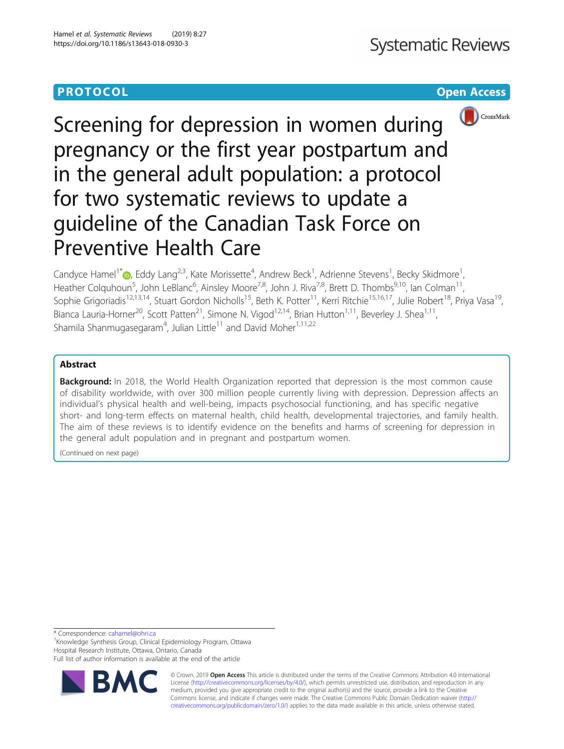# **PROTOCOL CONSUMING THE OPEN ACCESS**



Screening for depression in women during pregnancy or the first year postpartum and in the general adult population: a protocol for two systematic reviews to update a guideline of the Canadian Task Force on Preventive Health Care

Candyce Hamel<sup>1[\\*](http://orcid.org/0000-0002-5871-2137)</sup> (**b**, Eddy Lang<sup>2,3</sup>, Kate Morissette<sup>4</sup>, Andrew Beck<sup>1</sup>, Adrienne Stevens<sup>1</sup>, Becky Skidmore<sup>1</sup> , Heather Colquhoun<sup>5</sup>, John LeBlanc<sup>6</sup>, Ainsley Moore<sup>7,8</sup>, John J. Riva<sup>7,8</sup>, Brett D. Thombs<sup>9,10</sup>, Ian Colman<sup>11</sup>, Sophie Grigoriadis<sup>12,13,14</sup>, Stuart Gordon Nicholls<sup>15</sup>, Beth K. Potter<sup>11</sup>, Kerri Ritchie<sup>15,16,17</sup>, Julie Robert<sup>18</sup>, Priya Vasa<sup>19</sup>, Bianca Lauria-Horner<sup>20</sup>, Scott Patten<sup>21</sup>, Simone N. Vigod<sup>12,14</sup>, Brian Hutton<sup>1,11</sup>, Beverley J. Shea<sup>1,11</sup>, Shamila Shanmugasegaram<sup>4</sup>, Julian Little<sup>11</sup> and David Moher<sup>1,11,22</sup>

# Abstract

**Background:** In 2018, the World Health Organization reported that depression is the most common cause of disability worldwide, with over 300 million people currently living with depression. Depression affects an individual's physical health and well-being, impacts psychosocial functioning, and has specific negative short- and long-term effects on maternal health, child health, developmental trajectories, and family health. The aim of these reviews is to identify evidence on the benefits and harms of screening for depression in the general adult population and in pregnant and postpartum women.

(Continued on next page)

\* Correspondence: [cahamel@ohri.ca](mailto:cahamel@ohri.ca) <sup>1</sup>

<sup>1</sup> Knowledge Synthesis Group, Clinical Epidemiology Program, Ottawa Hospital Research Institute, Ottawa, Ontario, Canada

Full list of author information is available at the end of the article



© Crown. 2019 Open Access This article is distributed under the terms of the Creative Commons Attribution 4.0 International License ([http://creativecommons.org/licenses/by/4.0/\)](http://creativecommons.org/licenses/by/4.0/), which permits unrestricted use, distribution, and reproduction in any medium, provided you give appropriate credit to the original author(s) and the source, provide a link to the Creative Commons license, and indicate if changes were made. The Creative Commons Public Domain Dedication waiver ([http://](http://creativecommons.org/publicdomain/zero/1.0/) [creativecommons.org/publicdomain/zero/1.0/\)](http://creativecommons.org/publicdomain/zero/1.0/) applies to the data made available in this article, unless otherwise stated.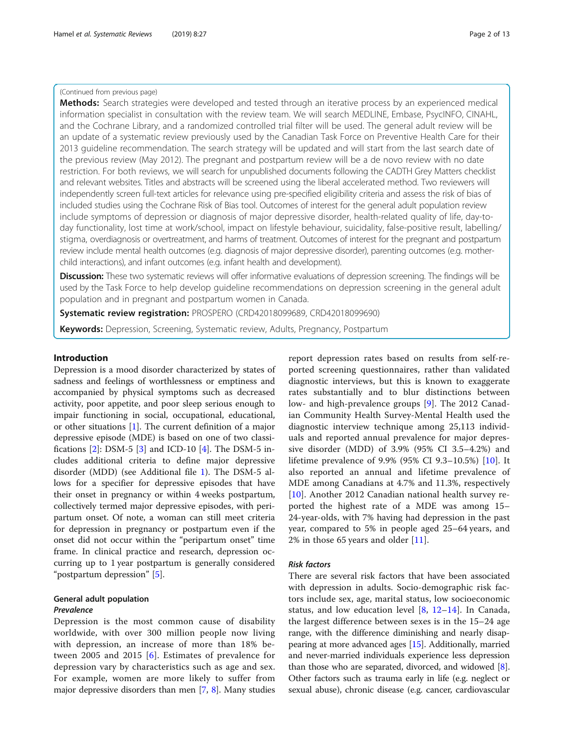# (Continued from previous page)

Methods: Search strategies were developed and tested through an iterative process by an experienced medical information specialist in consultation with the review team. We will search MEDLINE, Embase, PsycINFO, CINAHL, and the Cochrane Library, and a randomized controlled trial filter will be used. The general adult review will be an update of a systematic review previously used by the Canadian Task Force on Preventive Health Care for their 2013 guideline recommendation. The search strategy will be updated and will start from the last search date of the previous review (May 2012). The pregnant and postpartum review will be a de novo review with no date restriction. For both reviews, we will search for unpublished documents following the CADTH Grey Matters checklist and relevant websites. Titles and abstracts will be screened using the liberal accelerated method. Two reviewers will independently screen full-text articles for relevance using pre-specified eligibility criteria and assess the risk of bias of included studies using the Cochrane Risk of Bias tool. Outcomes of interest for the general adult population review include symptoms of depression or diagnosis of major depressive disorder, health-related quality of life, day-today functionality, lost time at work/school, impact on lifestyle behaviour, suicidality, false-positive result, labelling/ stigma, overdiagnosis or overtreatment, and harms of treatment. Outcomes of interest for the pregnant and postpartum review include mental health outcomes (e.g. diagnosis of major depressive disorder), parenting outcomes (e.g. motherchild interactions), and infant outcomes (e.g. infant health and development).

Discussion: These two systematic reviews will offer informative evaluations of depression screening. The findings will be used by the Task Force to help develop guideline recommendations on depression screening in the general adult population and in pregnant and postpartum women in Canada.

Systematic review registration: PROSPERO (CRD42018099689, CRD42018099690)

Keywords: Depression, Screening, Systematic review, Adults, Pregnancy, Postpartum

## Introduction

Depression is a mood disorder characterized by states of sadness and feelings of worthlessness or emptiness and accompanied by physical symptoms such as decreased activity, poor appetite, and poor sleep serious enough to impair functioning in social, occupational, educational, or other situations [\[1](#page-11-0)]. The current definition of a major depressive episode (MDE) is based on one of two classifications  $[2]$  $[2]$ : DSM-5  $[3]$  $[3]$  and ICD-10  $[4]$  $[4]$ . The DSM-5 includes additional criteria to define major depressive disorder (MDD) (see Additional file [1\)](#page-10-0). The DSM-5 allows for a specifier for depressive episodes that have their onset in pregnancy or within 4 weeks postpartum, collectively termed major depressive episodes, with peripartum onset. Of note, a woman can still meet criteria for depression in pregnancy or postpartum even if the onset did not occur within the "peripartum onset" time frame. In clinical practice and research, depression occurring up to 1 year postpartum is generally considered "postpartum depression" [[5\]](#page-11-0).

# General adult population Prevalence

Depression is the most common cause of disability worldwide, with over 300 million people now living with depression, an increase of more than 18% between 2005 and 2015 [[6\]](#page-11-0). Estimates of prevalence for depression vary by characteristics such as age and sex. For example, women are more likely to suffer from major depressive disorders than men [\[7,](#page-11-0) [8](#page-11-0)]. Many studies

report depression rates based on results from self-reported screening questionnaires, rather than validated diagnostic interviews, but this is known to exaggerate rates substantially and to blur distinctions between low- and high-prevalence groups [[9\]](#page-11-0). The 2012 Canadian Community Health Survey-Mental Health used the diagnostic interview technique among 25,113 individuals and reported annual prevalence for major depressive disorder (MDD) of 3.9% (95% CI 3.5–4.2%) and lifetime prevalence of 9.9% (95% CI 9.3–10.5%) [[10\]](#page-11-0). It also reported an annual and lifetime prevalence of MDE among Canadians at 4.7% and 11.3%, respectively [[10](#page-11-0)]. Another 2012 Canadian national health survey reported the highest rate of a MDE was among 15– 24-year-olds, with 7% having had depression in the past year, compared to 5% in people aged 25–64 years, and 2% in those 65 years and older [[11\]](#page-11-0).

## Risk factors

There are several risk factors that have been associated with depression in adults. Socio-demographic risk factors include sex, age, marital status, low socioeconomic status, and low education level  $[8, 12-14]$  $[8, 12-14]$  $[8, 12-14]$  $[8, 12-14]$  $[8, 12-14]$ . In Canada, the largest difference between sexes is in the 15–24 age range, with the difference diminishing and nearly disappearing at more advanced ages [\[15\]](#page-11-0). Additionally, married and never-married individuals experience less depression than those who are separated, divorced, and widowed [[8](#page-11-0)]. Other factors such as trauma early in life (e.g. neglect or sexual abuse), chronic disease (e.g. cancer, cardiovascular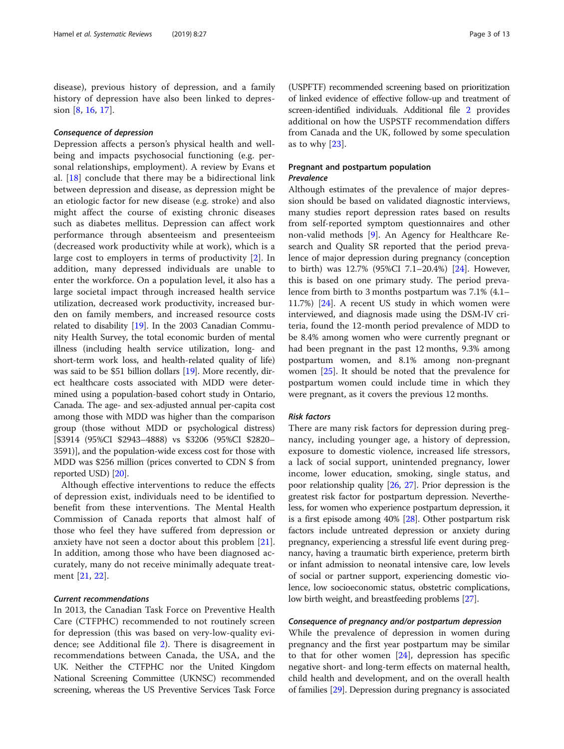disease), previous history of depression, and a family history of depression have also been linked to depression [\[8](#page-11-0), [16](#page-11-0), [17](#page-11-0)].

# Consequence of depression

Depression affects a person's physical health and wellbeing and impacts psychosocial functioning (e.g. personal relationships, employment). A review by Evans et al.  $[18]$  $[18]$  conclude that there may be a bidirectional link between depression and disease, as depression might be an etiologic factor for new disease (e.g. stroke) and also might affect the course of existing chronic diseases such as diabetes mellitus. Depression can affect work performance through absenteeism and presenteeism (decreased work productivity while at work), which is a large cost to employers in terms of productivity [[2\]](#page-11-0). In addition, many depressed individuals are unable to enter the workforce. On a population level, it also has a large societal impact through increased health service utilization, decreased work productivity, increased burden on family members, and increased resource costs related to disability [[19\]](#page-11-0). In the 2003 Canadian Community Health Survey, the total economic burden of mental illness (including health service utilization, long- and short-term work loss, and health-related quality of life) was said to be \$51 billion dollars [\[19\]](#page-11-0). More recently, direct healthcare costs associated with MDD were determined using a population-based cohort study in Ontario, Canada. The age- and sex-adjusted annual per-capita cost among those with MDD was higher than the comparison group (those without MDD or psychological distress) [\$3914 (95%CI \$2943–4888) vs \$3206 (95%CI \$2820– 3591)], and the population-wide excess cost for those with MDD was \$256 million (prices converted to CDN \$ from reported USD) [\[20\]](#page-11-0).

Although effective interventions to reduce the effects of depression exist, individuals need to be identified to benefit from these interventions. The Mental Health Commission of Canada reports that almost half of those who feel they have suffered from depression or anxiety have not seen a doctor about this problem [\[21](#page-11-0)]. In addition, among those who have been diagnosed accurately, many do not receive minimally adequate treatment [\[21](#page-11-0), [22\]](#page-11-0).

# Current recommendations

In 2013, the Canadian Task Force on Preventive Health Care (CTFPHC) recommended to not routinely screen for depression (this was based on very-low-quality evidence; see Additional file [2](#page-10-0)). There is disagreement in recommendations between Canada, the USA, and the UK. Neither the CTFPHC nor the United Kingdom National Screening Committee (UKNSC) recommended screening, whereas the US Preventive Services Task Force (USPFTF) recommended screening based on prioritization of linked evidence of effective follow-up and treatment of screen-identified individuals. Additional file [2](#page-10-0) provides additional on how the USPSTF recommendation differs from Canada and the UK, followed by some speculation as to why [[23\]](#page-11-0).

# Pregnant and postpartum population Prevalence

Although estimates of the prevalence of major depression should be based on validated diagnostic interviews, many studies report depression rates based on results from self-reported symptom questionnaires and other non-valid methods [[9](#page-11-0)]. An Agency for Healthcare Research and Quality SR reported that the period prevalence of major depression during pregnancy (conception to birth) was 12.7% (95%CI 7.1–20.4%) [[24\]](#page-11-0). However, this is based on one primary study. The period prevalence from birth to 3 months postpartum was 7.1% (4.1– 11.7%) [\[24](#page-11-0)]. A recent US study in which women were interviewed, and diagnosis made using the DSM-IV criteria, found the 12-month period prevalence of MDD to be 8.4% among women who were currently pregnant or had been pregnant in the past 12 months, 9.3% among postpartum women, and 8.1% among non-pregnant women [[25\]](#page-11-0). It should be noted that the prevalence for postpartum women could include time in which they were pregnant, as it covers the previous 12 months.

#### Risk factors

There are many risk factors for depression during pregnancy, including younger age, a history of depression, exposure to domestic violence, increased life stressors, a lack of social support, unintended pregnancy, lower income, lower education, smoking, single status, and poor relationship quality [[26](#page-11-0), [27\]](#page-11-0). Prior depression is the greatest risk factor for postpartum depression. Nevertheless, for women who experience postpartum depression, it is a first episode among 40% [[28](#page-11-0)]. Other postpartum risk factors include untreated depression or anxiety during pregnancy, experiencing a stressful life event during pregnancy, having a traumatic birth experience, preterm birth or infant admission to neonatal intensive care, low levels of social or partner support, experiencing domestic violence, low socioeconomic status, obstetric complications, low birth weight, and breastfeeding problems [\[27\]](#page-11-0).

## Consequence of pregnancy and/or postpartum depression

While the prevalence of depression in women during pregnancy and the first year postpartum may be similar to that for other women  $[24]$  $[24]$ , depression has specific negative short- and long-term effects on maternal health, child health and development, and on the overall health of families [[29](#page-11-0)]. Depression during pregnancy is associated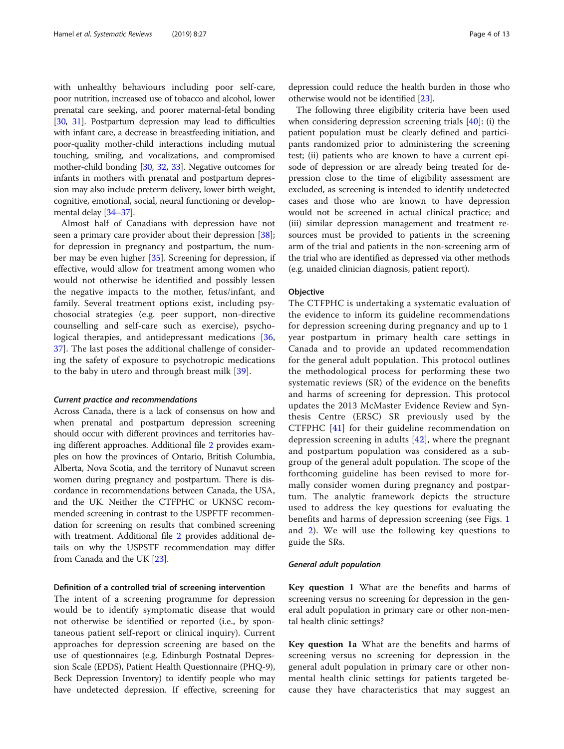with unhealthy behaviours including poor self-care, poor nutrition, increased use of tobacco and alcohol, lower prenatal care seeking, and poorer maternal-fetal bonding [[30](#page-11-0), [31\]](#page-11-0). Postpartum depression may lead to difficulties with infant care, a decrease in breastfeeding initiation, and poor-quality mother-child interactions including mutual touching, smiling, and vocalizations, and compromised mother-child bonding [\[30](#page-11-0), [32,](#page-11-0) [33\]](#page-11-0). Negative outcomes for infants in mothers with prenatal and postpartum depression may also include preterm delivery, lower birth weight, cognitive, emotional, social, neural functioning or developmental delay [[34](#page-12-0)–[37](#page-12-0)].

Almost half of Canadians with depression have not seen a primary care provider about their depression [\[38](#page-12-0)]; for depression in pregnancy and postpartum, the number may be even higher [[35\]](#page-12-0). Screening for depression, if effective, would allow for treatment among women who would not otherwise be identified and possibly lessen the negative impacts to the mother, fetus/infant, and family. Several treatment options exist, including psychosocial strategies (e.g. peer support, non-directive counselling and self-care such as exercise), psycho-logical therapies, and antidepressant medications [\[36](#page-12-0), [37\]](#page-12-0). The last poses the additional challenge of considering the safety of exposure to psychotropic medications to the baby in utero and through breast milk [[39](#page-12-0)].

#### Current practice and recommendations

Across Canada, there is a lack of consensus on how and when prenatal and postpartum depression screening should occur with different provinces and territories having different approaches. Additional file [2](#page-10-0) provides examples on how the provinces of Ontario, British Columbia, Alberta, Nova Scotia, and the territory of Nunavut screen women during pregnancy and postpartum. There is discordance in recommendations between Canada, the USA, and the UK. Neither the CTFPHC or UKNSC recommended screening in contrast to the USPFTF recommendation for screening on results that combined screening with treatment. Additional file [2](#page-10-0) provides additional details on why the USPSTF recommendation may differ from Canada and the UK [\[23\]](#page-11-0).

## Definition of a controlled trial of screening intervention

The intent of a screening programme for depression would be to identify symptomatic disease that would not otherwise be identified or reported (i.e., by spontaneous patient self-report or clinical inquiry). Current approaches for depression screening are based on the use of questionnaires (e.g. Edinburgh Postnatal Depression Scale (EPDS), Patient Health Questionnaire (PHQ-9), Beck Depression Inventory) to identify people who may have undetected depression. If effective, screening for

depression could reduce the health burden in those who otherwise would not be identified [\[23\]](#page-11-0).

The following three eligibility criteria have been used when considering depression screening trials [\[40](#page-12-0)]: (i) the patient population must be clearly defined and participants randomized prior to administering the screening test; (ii) patients who are known to have a current episode of depression or are already being treated for depression close to the time of eligibility assessment are excluded, as screening is intended to identify undetected cases and those who are known to have depression would not be screened in actual clinical practice; and (iii) similar depression management and treatment resources must be provided to patients in the screening arm of the trial and patients in the non-screening arm of the trial who are identified as depressed via other methods (e.g. unaided clinician diagnosis, patient report).

## **Objective**

The CTFPHC is undertaking a systematic evaluation of the evidence to inform its guideline recommendations for depression screening during pregnancy and up to 1 year postpartum in primary health care settings in Canada and to provide an updated recommendation for the general adult population. This protocol outlines the methodological process for performing these two systematic reviews (SR) of the evidence on the benefits and harms of screening for depression. This protocol updates the 2013 McMaster Evidence Review and Synthesis Centre (ERSC) SR previously used by the CTFPHC [\[41](#page-12-0)] for their guideline recommendation on depression screening in adults [\[42](#page-12-0)], where the pregnant and postpartum population was considered as a subgroup of the general adult population. The scope of the forthcoming guideline has been revised to more formally consider women during pregnancy and postpartum. The analytic framework depicts the structure used to address the key questions for evaluating the benefits and harms of depression screening (see Figs. [1](#page-4-0) and [2\)](#page-4-0). We will use the following key questions to guide the SRs.

#### General adult population

Key question 1 What are the benefits and harms of screening versus no screening for depression in the general adult population in primary care or other non-mental health clinic settings?

Key question 1a What are the benefits and harms of screening versus no screening for depression in the general adult population in primary care or other nonmental health clinic settings for patients targeted because they have characteristics that may suggest an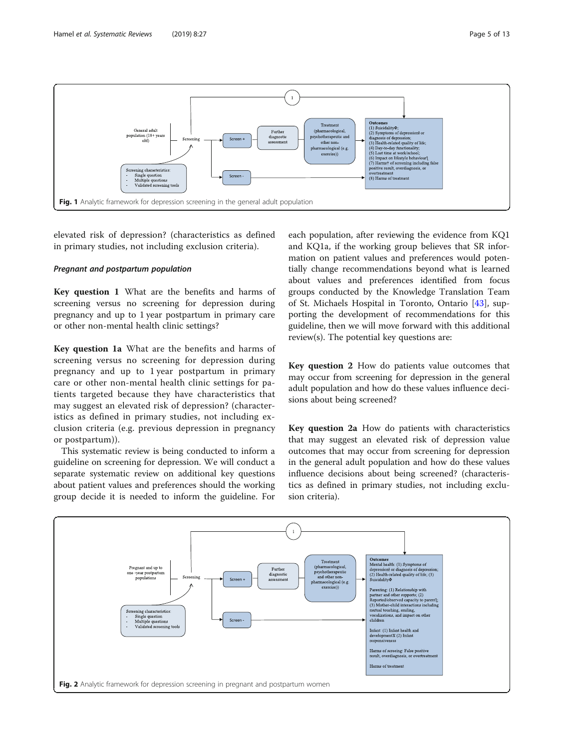<span id="page-4-0"></span>

elevated risk of depression? (characteristics as defined in primary studies, not including exclusion criteria).

# Pregnant and postpartum population

Key question 1 What are the benefits and harms of screening versus no screening for depression during pregnancy and up to 1 year postpartum in primary care or other non-mental health clinic settings?

Key question 1a What are the benefits and harms of screening versus no screening for depression during pregnancy and up to 1 year postpartum in primary care or other non-mental health clinic settings for patients targeted because they have characteristics that may suggest an elevated risk of depression? (characteristics as defined in primary studies, not including exclusion criteria (e.g. previous depression in pregnancy or postpartum)).

This systematic review is being conducted to inform a guideline on screening for depression. We will conduct a separate systematic review on additional key questions about patient values and preferences should the working group decide it is needed to inform the guideline. For

each population, after reviewing the evidence from KQ1 and KQ1a, if the working group believes that SR information on patient values and preferences would potentially change recommendations beyond what is learned about values and preferences identified from focus groups conducted by the Knowledge Translation Team of St. Michaels Hospital in Toronto, Ontario [[43](#page-12-0)], supporting the development of recommendations for this guideline, then we will move forward with this additional review(s). The potential key questions are:

Key question 2 How do patients value outcomes that may occur from screening for depression in the general adult population and how do these values influence decisions about being screened?

Key question 2a How do patients with characteristics that may suggest an elevated risk of depression value outcomes that may occur from screening for depression in the general adult population and how do these values influence decisions about being screened? (characteristics as defined in primary studies, not including exclusion criteria).

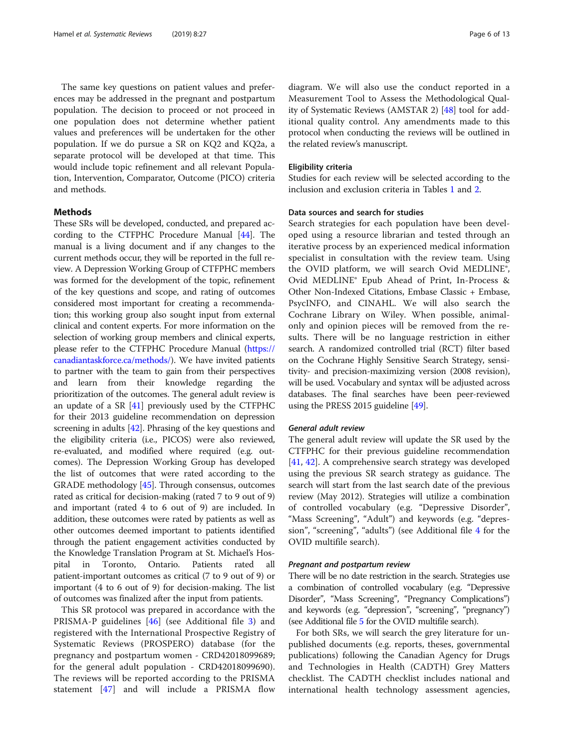The same key questions on patient values and preferences may be addressed in the pregnant and postpartum population. The decision to proceed or not proceed in one population does not determine whether patient values and preferences will be undertaken for the other population. If we do pursue a SR on KQ2 and KQ2a, a separate protocol will be developed at that time. This would include topic refinement and all relevant Population, Intervention, Comparator, Outcome (PICO) criteria and methods.

# Methods

These SRs will be developed, conducted, and prepared according to the CTFPHC Procedure Manual [\[44\]](#page-12-0). The manual is a living document and if any changes to the current methods occur, they will be reported in the full review. A Depression Working Group of CTFPHC members was formed for the development of the topic, refinement of the key questions and scope, and rating of outcomes considered most important for creating a recommendation; this working group also sought input from external clinical and content experts. For more information on the selection of working group members and clinical experts, please refer to the CTFPHC Procedure Manual [\(https://](https://canadiantaskforce.ca/methods/) [canadiantaskforce.ca/methods/](https://canadiantaskforce.ca/methods/)). We have invited patients to partner with the team to gain from their perspectives and learn from their knowledge regarding the prioritization of the outcomes. The general adult review is an update of a SR [\[41\]](#page-12-0) previously used by the CTFPHC for their 2013 guideline recommendation on depression screening in adults [[42](#page-12-0)]. Phrasing of the key questions and the eligibility criteria (i.e., PICOS) were also reviewed, re-evaluated, and modified where required (e.g. outcomes). The Depression Working Group has developed the list of outcomes that were rated according to the GRADE methodology [\[45](#page-12-0)]. Through consensus, outcomes rated as critical for decision-making (rated 7 to 9 out of 9) and important (rated 4 to 6 out of 9) are included. In addition, these outcomes were rated by patients as well as other outcomes deemed important to patients identified through the patient engagement activities conducted by the Knowledge Translation Program at St. Michael's Hospital in Toronto, Ontario. Patients rated all patient-important outcomes as critical (7 to 9 out of 9) or important (4 to 6 out of 9) for decision-making. The list of outcomes was finalized after the input from patients.

This SR protocol was prepared in accordance with the PRISMA-P guidelines [\[46](#page-12-0)] (see Additional file [3](#page-10-0)) and registered with the International Prospective Registry of Systematic Reviews (PROSPERO) database (for the pregnancy and postpartum women - CRD42018099689; for the general adult population - CRD42018099690). The reviews will be reported according to the PRISMA statement [[47\]](#page-12-0) and will include a PRISMA flow

diagram. We will also use the conduct reported in a Measurement Tool to Assess the Methodological Quality of Systematic Reviews (AMSTAR 2) [\[48\]](#page-12-0) tool for additional quality control. Any amendments made to this protocol when conducting the reviews will be outlined in the related review's manuscript.

## Eligibility criteria

Studies for each review will be selected according to the inclusion and exclusion criteria in Tables [1](#page-6-0) and [2](#page-7-0).

# Data sources and search for studies

Search strategies for each population have been developed using a resource librarian and tested through an iterative process by an experienced medical information specialist in consultation with the review team. Using the OVID platform, we will search Ovid MEDLINE®, Ovid MEDLINE® Epub Ahead of Print, In-Process & Other Non-Indexed Citations, Embase Classic + Embase, PsycINFO, and CINAHL. We will also search the Cochrane Library on Wiley. When possible, animalonly and opinion pieces will be removed from the results. There will be no language restriction in either search. A randomized controlled trial (RCT) filter based on the Cochrane Highly Sensitive Search Strategy, sensitivity- and precision-maximizing version (2008 revision), will be used. Vocabulary and syntax will be adjusted across databases. The final searches have been peer-reviewed using the PRESS 2015 guideline [\[49\]](#page-12-0).

# General adult review

The general adult review will update the SR used by the CTFPHC for their previous guideline recommendation [[41,](#page-12-0) [42\]](#page-12-0). A comprehensive search strategy was developed using the previous SR search strategy as guidance. The search will start from the last search date of the previous review (May 2012). Strategies will utilize a combination of controlled vocabulary (e.g. "Depressive Disorder", "Mass Screening", "Adult") and keywords (e.g. "depression", "screening", "adults") (see Additional file [4](#page-10-0) for the OVID multifile search).

#### Pregnant and postpartum review

There will be no date restriction in the search. Strategies use a combination of controlled vocabulary (e.g. "Depressive Disorder", "Mass Screening", "Pregnancy Complications") and keywords (e.g. "depression", "screening", "pregnancy") (see Additional file [5](#page-10-0) for the OVID multifile search).

For both SRs, we will search the grey literature for unpublished documents (e.g. reports, theses, governmental publications) following the Canadian Agency for Drugs and Technologies in Health (CADTH) Grey Matters checklist. The CADTH checklist includes national and international health technology assessment agencies,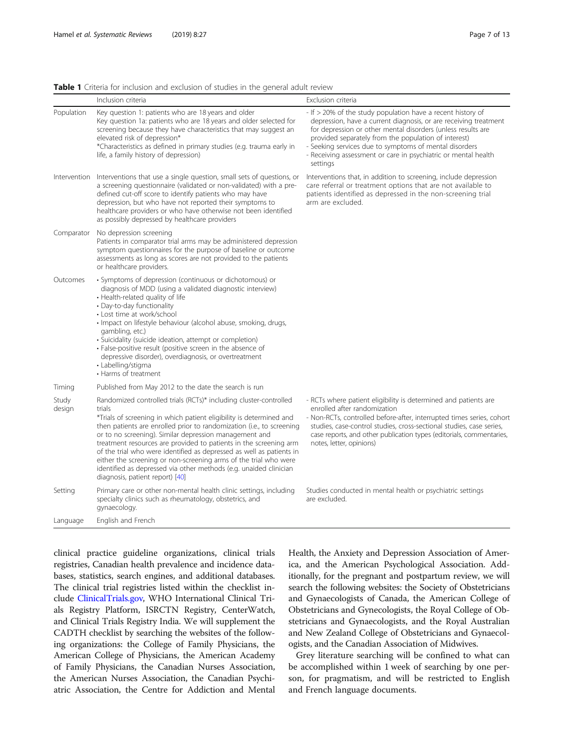<span id="page-6-0"></span>

|  |  | <b>Table 1</b> Criteria for inclusion and exclusion of studies in the general adult review |
|--|--|--------------------------------------------------------------------------------------------|
|  |  |                                                                                            |

|                 | Inclusion criteria                                                                                                                                                                                                                                                                                                                                                                                                                                                                                                                                                                                             | Exclusion criteria                                                                                                                                                                                                                                                                                                                                                                              |
|-----------------|----------------------------------------------------------------------------------------------------------------------------------------------------------------------------------------------------------------------------------------------------------------------------------------------------------------------------------------------------------------------------------------------------------------------------------------------------------------------------------------------------------------------------------------------------------------------------------------------------------------|-------------------------------------------------------------------------------------------------------------------------------------------------------------------------------------------------------------------------------------------------------------------------------------------------------------------------------------------------------------------------------------------------|
| Population      | Key question 1: patients who are 18 years and older<br>Key question 1a: patients who are 18 years and older selected for<br>screening because they have characteristics that may suggest an<br>elevated risk of depression*<br>*Characteristics as defined in primary studies (e.g. trauma early in<br>life, a family history of depression)                                                                                                                                                                                                                                                                   | - If > 20% of the study population have a recent history of<br>depression, have a current diagnosis, or are receiving treatment<br>for depression or other mental disorders (unless results are<br>provided separately from the population of interest)<br>- Seeking services due to symptoms of mental disorders<br>- Receiving assessment or care in psychiatric or mental health<br>settings |
| Intervention    | Interventions that use a single question, small sets of questions, or<br>a screening questionnaire (validated or non-validated) with a pre-<br>defined cut-off score to identify patients who may have<br>depression, but who have not reported their symptoms to<br>healthcare providers or who have otherwise not been identified<br>as possibly depressed by healthcare providers                                                                                                                                                                                                                           | Interventions that, in addition to screening, include depression<br>care referral or treatment options that are not available to<br>patients identified as depressed in the non-screening trial<br>arm are excluded.                                                                                                                                                                            |
| Comparator      | No depression screening<br>Patients in comparator trial arms may be administered depression<br>symptom questionnaires for the purpose of baseline or outcome<br>assessments as long as scores are not provided to the patients<br>or healthcare providers.                                                                                                                                                                                                                                                                                                                                                     |                                                                                                                                                                                                                                                                                                                                                                                                 |
| Outcomes        | • Symptoms of depression (continuous or dichotomous) or<br>diagnosis of MDD (using a validated diagnostic interview)<br>• Health-related quality of life<br>· Day-to-day functionality<br>• Lost time at work/school<br>· Impact on lifestyle behaviour (alcohol abuse, smoking, drugs,<br>gambling, etc.)<br>• Suicidality (suicide ideation, attempt or completion)<br>• False-positive result (positive screen in the absence of<br>depressive disorder), overdiagnosis, or overtreatment<br>· Labelling/stigma<br>• Harms of treatment                                                                     |                                                                                                                                                                                                                                                                                                                                                                                                 |
| Timing          | Published from May 2012 to the date the search is run                                                                                                                                                                                                                                                                                                                                                                                                                                                                                                                                                          |                                                                                                                                                                                                                                                                                                                                                                                                 |
| Study<br>design | Randomized controlled trials (RCTs)* including cluster-controlled<br>trials<br>*Trials of screening in which patient eligibility is determined and<br>then patients are enrolled prior to randomization (i.e., to screening<br>or to no screening). Similar depression management and<br>treatment resources are provided to patients in the screening arm<br>of the trial who were identified as depressed as well as patients in<br>either the screening or non-screening arms of the trial who were<br>identified as depressed via other methods (e.g. unaided clinician<br>diagnosis, patient report) [40] | - RCTs where patient eligibility is determined and patients are<br>enrolled after randomization<br>- Non-RCTs, controlled before-after, interrupted times series, cohort<br>studies, case-control studies, cross-sectional studies, case series,<br>case reports, and other publication types (editorials, commentaries,<br>notes, letter, opinions)                                            |
| Setting         | Primary care or other non-mental health clinic settings, including<br>specialty clinics such as rheumatology, obstetrics, and<br>gynaecology.                                                                                                                                                                                                                                                                                                                                                                                                                                                                  | Studies conducted in mental health or psychiatric settings<br>are excluded.                                                                                                                                                                                                                                                                                                                     |
| Language        | English and French                                                                                                                                                                                                                                                                                                                                                                                                                                                                                                                                                                                             |                                                                                                                                                                                                                                                                                                                                                                                                 |

clinical practice guideline organizations, clinical trials registries, Canadian health prevalence and incidence databases, statistics, search engines, and additional databases. The clinical trial registries listed within the checklist include [ClinicalTrials.gov,](http://clinicaltrials.gov) WHO International Clinical Trials Registry Platform, ISRCTN Registry, CenterWatch, and Clinical Trials Registry India. We will supplement the CADTH checklist by searching the websites of the following organizations: the College of Family Physicians, the American College of Physicians, the American Academy of Family Physicians, the Canadian Nurses Association, the American Nurses Association, the Canadian Psychiatric Association, the Centre for Addiction and Mental Health, the Anxiety and Depression Association of America, and the American Psychological Association. Additionally, for the pregnant and postpartum review, we will search the following websites: the Society of Obstetricians and Gynaecologists of Canada, the American College of Obstetricians and Gynecologists, the Royal College of Obstetricians and Gynaecologists, and the Royal Australian and New Zealand College of Obstetricians and Gynaecologists, and the Canadian Association of Midwives.

Grey literature searching will be confined to what can be accomplished within 1 week of searching by one person, for pragmatism, and will be restricted to English and French language documents.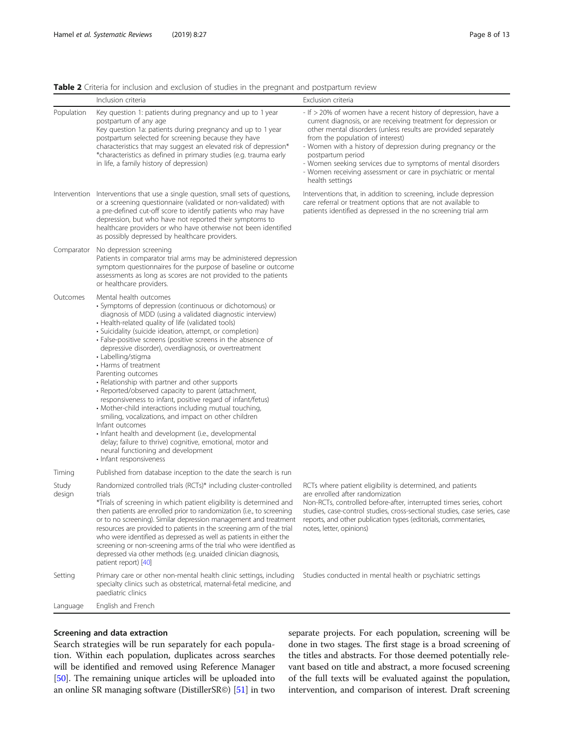<span id="page-7-0"></span>

| Table 2 Criteria for inclusion and exclusion of studies in the pregnant and postpartum review |  |  |  |
|-----------------------------------------------------------------------------------------------|--|--|--|
|                                                                                               |  |  |  |

|                 | Inclusion criteria                                                                                                                                                                                                                                                                                                                                                                                                                                                                                                                                                                                                                                                                                                                                                                                                                                                                                                                                              | Exclusion criteria                                                                                                                                                                                                                                                                                                                                                                                                                                                                |
|-----------------|-----------------------------------------------------------------------------------------------------------------------------------------------------------------------------------------------------------------------------------------------------------------------------------------------------------------------------------------------------------------------------------------------------------------------------------------------------------------------------------------------------------------------------------------------------------------------------------------------------------------------------------------------------------------------------------------------------------------------------------------------------------------------------------------------------------------------------------------------------------------------------------------------------------------------------------------------------------------|-----------------------------------------------------------------------------------------------------------------------------------------------------------------------------------------------------------------------------------------------------------------------------------------------------------------------------------------------------------------------------------------------------------------------------------------------------------------------------------|
| Population      | Key question 1: patients during pregnancy and up to 1 year<br>postpartum of any age<br>Key question 1a: patients during pregnancy and up to 1 year<br>postpartum selected for screening because they have<br>characteristics that may suggest an elevated risk of depression*<br>*characteristics as defined in primary studies (e.g. trauma early<br>in life, a family history of depression)                                                                                                                                                                                                                                                                                                                                                                                                                                                                                                                                                                  | - If > 20% of women have a recent history of depression, have a<br>current diagnosis, or are receiving treatment for depression or<br>other mental disorders (unless results are provided separately<br>from the population of interest)<br>- Women with a history of depression during pregnancy or the<br>postpartum period<br>- Women seeking services due to symptoms of mental disorders<br>- Women receiving assessment or care in psychiatric or mental<br>health settings |
|                 | Intervention Interventions that use a single question, small sets of questions,<br>or a screening questionnaire (validated or non-validated) with<br>a pre-defined cut-off score to identify patients who may have<br>depression, but who have not reported their symptoms to<br>healthcare providers or who have otherwise not been identified<br>as possibly depressed by healthcare providers.                                                                                                                                                                                                                                                                                                                                                                                                                                                                                                                                                               | Interventions that, in addition to screening, include depression<br>care referral or treatment options that are not available to<br>patients identified as depressed in the no screening trial arm                                                                                                                                                                                                                                                                                |
| Comparator      | No depression screening<br>Patients in comparator trial arms may be administered depression<br>symptom questionnaires for the purpose of baseline or outcome<br>assessments as long as scores are not provided to the patients<br>or healthcare providers.                                                                                                                                                                                                                                                                                                                                                                                                                                                                                                                                                                                                                                                                                                      |                                                                                                                                                                                                                                                                                                                                                                                                                                                                                   |
| Outcomes        | Mental health outcomes<br>· Symptoms of depression (continuous or dichotomous) or<br>diagnosis of MDD (using a validated diagnostic interview)<br>• Health-related quality of life (validated tools)<br>· Suicidality (suicide ideation, attempt, or completion)<br>· False-positive screens (positive screens in the absence of<br>depressive disorder), overdiagnosis, or overtreatment<br>· Labelling/stigma<br>• Harms of treatment<br>Parenting outcomes<br>• Relationship with partner and other supports<br>· Reported/observed capacity to parent (attachment,<br>responsiveness to infant, positive regard of infant/fetus)<br>• Mother-child interactions including mutual touching,<br>smiling, vocalizations, and impact on other children<br>Infant outcomes<br>· Infant health and development (i.e., developmental<br>delay; failure to thrive) cognitive, emotional, motor and<br>neural functioning and development<br>• Infant responsiveness |                                                                                                                                                                                                                                                                                                                                                                                                                                                                                   |
| Timing          | Published from database inception to the date the search is run                                                                                                                                                                                                                                                                                                                                                                                                                                                                                                                                                                                                                                                                                                                                                                                                                                                                                                 |                                                                                                                                                                                                                                                                                                                                                                                                                                                                                   |
| Study<br>design | Randomized controlled trials (RCTs)* including cluster-controlled<br>trials<br>*Trials of screening in which patient eligibility is determined and<br>then patients are enrolled prior to randomization (i.e., to screening<br>or to no screening). Similar depression management and treatment<br>resources are provided to patients in the screening arm of the trial<br>who were identified as depressed as well as patients in either the<br>screening or non-screening arms of the trial who were identified as<br>depressed via other methods (e.g. unaided clinician diagnosis,<br>patient report) [40]                                                                                                                                                                                                                                                                                                                                                  | RCTs where patient eligibility is determined, and patients<br>are enrolled after randomization<br>Non-RCTs, controlled before-after, interrupted times series, cohort<br>studies, case-control studies, cross-sectional studies, case series, case<br>reports, and other publication types (editorials, commentaries,<br>notes, letter, opinions)                                                                                                                                 |
| Setting         | Primary care or other non-mental health clinic settings, including<br>specialty clinics such as obstetrical, maternal-fetal medicine, and<br>paediatric clinics                                                                                                                                                                                                                                                                                                                                                                                                                                                                                                                                                                                                                                                                                                                                                                                                 | Studies conducted in mental health or psychiatric settings                                                                                                                                                                                                                                                                                                                                                                                                                        |
| Language        | English and French                                                                                                                                                                                                                                                                                                                                                                                                                                                                                                                                                                                                                                                                                                                                                                                                                                                                                                                                              |                                                                                                                                                                                                                                                                                                                                                                                                                                                                                   |

# Screening and data extraction

Search strategies will be run separately for each population. Within each population, duplicates across searches will be identified and removed using Reference Manager [[50](#page-12-0)]. The remaining unique articles will be uploaded into an online SR managing software (DistillerSR©) [[51](#page-12-0)] in two separate projects. For each population, screening will be done in two stages. The first stage is a broad screening of the titles and abstracts. For those deemed potentially relevant based on title and abstract, a more focused screening of the full texts will be evaluated against the population, intervention, and comparison of interest. Draft screening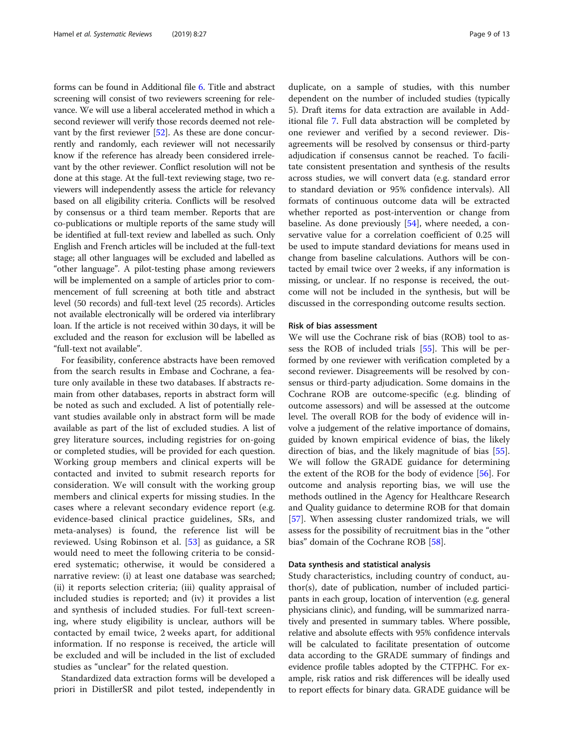forms can be found in Additional file [6](#page-10-0). Title and abstract screening will consist of two reviewers screening for relevance. We will use a liberal accelerated method in which a second reviewer will verify those records deemed not relevant by the first reviewer [[52](#page-12-0)]. As these are done concurrently and randomly, each reviewer will not necessarily know if the reference has already been considered irrelevant by the other reviewer. Conflict resolution will not be done at this stage. At the full-text reviewing stage, two reviewers will independently assess the article for relevancy based on all eligibility criteria. Conflicts will be resolved by consensus or a third team member. Reports that are co-publications or multiple reports of the same study will be identified at full-text review and labelled as such. Only English and French articles will be included at the full-text stage; all other languages will be excluded and labelled as "other language". A pilot-testing phase among reviewers will be implemented on a sample of articles prior to commencement of full screening at both title and abstract level (50 records) and full-text level (25 records). Articles not available electronically will be ordered via interlibrary loan. If the article is not received within 30 days, it will be excluded and the reason for exclusion will be labelled as "full-text not available".

For feasibility, conference abstracts have been removed from the search results in Embase and Cochrane, a feature only available in these two databases. If abstracts remain from other databases, reports in abstract form will be noted as such and excluded. A list of potentially relevant studies available only in abstract form will be made available as part of the list of excluded studies. A list of grey literature sources, including registries for on-going or completed studies, will be provided for each question. Working group members and clinical experts will be contacted and invited to submit research reports for consideration. We will consult with the working group members and clinical experts for missing studies. In the cases where a relevant secondary evidence report (e.g. evidence-based clinical practice guidelines, SRs, and meta-analyses) is found, the reference list will be reviewed. Using Robinson et al. [[53\]](#page-12-0) as guidance, a SR would need to meet the following criteria to be considered systematic; otherwise, it would be considered a narrative review: (i) at least one database was searched; (ii) it reports selection criteria; (iii) quality appraisal of included studies is reported; and (iv) it provides a list and synthesis of included studies. For full-text screening, where study eligibility is unclear, authors will be contacted by email twice, 2 weeks apart, for additional information. If no response is received, the article will be excluded and will be included in the list of excluded studies as "unclear" for the related question.

Standardized data extraction forms will be developed a priori in DistillerSR and pilot tested, independently in duplicate, on a sample of studies, with this number dependent on the number of included studies (typically 5). Draft items for data extraction are available in Additional file [7](#page-10-0). Full data abstraction will be completed by one reviewer and verified by a second reviewer. Disagreements will be resolved by consensus or third-party adjudication if consensus cannot be reached. To facilitate consistent presentation and synthesis of the results across studies, we will convert data (e.g. standard error to standard deviation or 95% confidence intervals). All formats of continuous outcome data will be extracted whether reported as post-intervention or change from baseline. As done previously [[54\]](#page-12-0), where needed, a conservative value for a correlation coefficient of 0.25 will be used to impute standard deviations for means used in change from baseline calculations. Authors will be contacted by email twice over 2 weeks, if any information is missing, or unclear. If no response is received, the outcome will not be included in the synthesis, but will be discussed in the corresponding outcome results section.

# Risk of bias assessment

We will use the Cochrane risk of bias (ROB) tool to assess the ROB of included trials [\[55](#page-12-0)]. This will be performed by one reviewer with verification completed by a second reviewer. Disagreements will be resolved by consensus or third-party adjudication. Some domains in the Cochrane ROB are outcome-specific (e.g. blinding of outcome assessors) and will be assessed at the outcome level. The overall ROB for the body of evidence will involve a judgement of the relative importance of domains, guided by known empirical evidence of bias, the likely direction of bias, and the likely magnitude of bias [\[55](#page-12-0)]. We will follow the GRADE guidance for determining the extent of the ROB for the body of evidence [\[56](#page-12-0)]. For outcome and analysis reporting bias, we will use the methods outlined in the Agency for Healthcare Research and Quality guidance to determine ROB for that domain [[57\]](#page-12-0). When assessing cluster randomized trials, we will assess for the possibility of recruitment bias in the "other bias" domain of the Cochrane ROB [[58\]](#page-12-0).

# Data synthesis and statistical analysis

Study characteristics, including country of conduct, author(s), date of publication, number of included participants in each group, location of intervention (e.g. general physicians clinic), and funding, will be summarized narratively and presented in summary tables. Where possible, relative and absolute effects with 95% confidence intervals will be calculated to facilitate presentation of outcome data according to the GRADE summary of findings and evidence profile tables adopted by the CTFPHC. For example, risk ratios and risk differences will be ideally used to report effects for binary data. GRADE guidance will be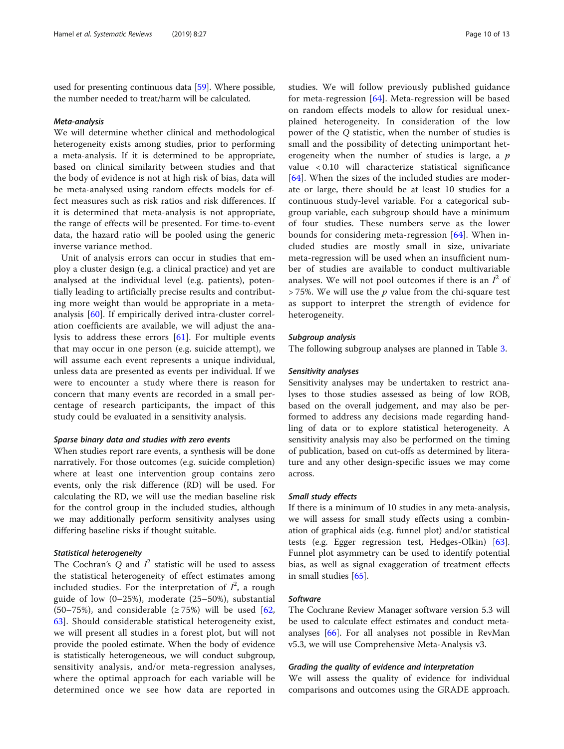used for presenting continuous data [\[59\]](#page-12-0). Where possible, the number needed to treat/harm will be calculated.

#### Meta-analysis

We will determine whether clinical and methodological heterogeneity exists among studies, prior to performing a meta-analysis. If it is determined to be appropriate, based on clinical similarity between studies and that the body of evidence is not at high risk of bias, data will be meta-analysed using random effects models for effect measures such as risk ratios and risk differences. If it is determined that meta-analysis is not appropriate, the range of effects will be presented. For time-to-event data, the hazard ratio will be pooled using the generic inverse variance method.

Unit of analysis errors can occur in studies that employ a cluster design (e.g. a clinical practice) and yet are analysed at the individual level (e.g. patients), potentially leading to artificially precise results and contributing more weight than would be appropriate in a metaanalysis [\[60](#page-12-0)]. If empirically derived intra-cluster correlation coefficients are available, we will adjust the analysis to address these errors [\[61](#page-12-0)]. For multiple events that may occur in one person (e.g. suicide attempt), we will assume each event represents a unique individual, unless data are presented as events per individual. If we were to encounter a study where there is reason for concern that many events are recorded in a small percentage of research participants, the impact of this study could be evaluated in a sensitivity analysis.

#### Sparse binary data and studies with zero events

When studies report rare events, a synthesis will be done narratively. For those outcomes (e.g. suicide completion) where at least one intervention group contains zero events, only the risk difference (RD) will be used. For calculating the RD, we will use the median baseline risk for the control group in the included studies, although we may additionally perform sensitivity analyses using differing baseline risks if thought suitable.

## Statistical heterogeneity

The Cochran's  $Q$  and  $I^2$  statistic will be used to assess the statistical heterogeneity of effect estimates among included studies. For the interpretation of  $I^2$ , a rough guide of low (0–25%), moderate (25–50%), substantial (50–75%), and considerable ( $\geq$  75%) will be used [\[62](#page-12-0), [63\]](#page-12-0). Should considerable statistical heterogeneity exist, we will present all studies in a forest plot, but will not provide the pooled estimate. When the body of evidence is statistically heterogeneous, we will conduct subgroup, sensitivity analysis, and/or meta-regression analyses, where the optimal approach for each variable will be determined once we see how data are reported in studies. We will follow previously published guidance for meta-regression [[64\]](#page-12-0). Meta-regression will be based on random effects models to allow for residual unexplained heterogeneity. In consideration of the low power of the Q statistic, when the number of studies is small and the possibility of detecting unimportant heterogeneity when the number of studies is large, a  $p$ value < 0.10 will characterize statistical significance [[64\]](#page-12-0). When the sizes of the included studies are moderate or large, there should be at least 10 studies for a continuous study-level variable. For a categorical subgroup variable, each subgroup should have a minimum of four studies. These numbers serve as the lower bounds for considering meta-regression [[64](#page-12-0)]. When included studies are mostly small in size, univariate meta-regression will be used when an insufficient number of studies are available to conduct multivariable analyses. We will not pool outcomes if there is an  $I^2$  of  $> 75\%$ . We will use the p value from the chi-square test as support to interpret the strength of evidence for heterogeneity.

#### Subgroup analysis

The following subgroup analyses are planned in Table [3.](#page-10-0)

# Sensitivity analyses

Sensitivity analyses may be undertaken to restrict analyses to those studies assessed as being of low ROB, based on the overall judgement, and may also be performed to address any decisions made regarding handling of data or to explore statistical heterogeneity. A sensitivity analysis may also be performed on the timing of publication, based on cut-offs as determined by literature and any other design-specific issues we may come across.

#### Small study effects

If there is a minimum of 10 studies in any meta-analysis, we will assess for small study effects using a combination of graphical aids (e.g. funnel plot) and/or statistical tests (e.g. Egger regression test, Hedges-Olkin) [\[63](#page-12-0)]. Funnel plot asymmetry can be used to identify potential bias, as well as signal exaggeration of treatment effects in small studies [\[65](#page-12-0)].

# **Software**

The Cochrane Review Manager software version 5.3 will be used to calculate effect estimates and conduct metaanalyses [[66\]](#page-12-0). For all analyses not possible in RevMan v5.3, we will use Comprehensive Meta-Analysis v3.

## Grading the quality of evidence and interpretation

We will assess the quality of evidence for individual comparisons and outcomes using the GRADE approach.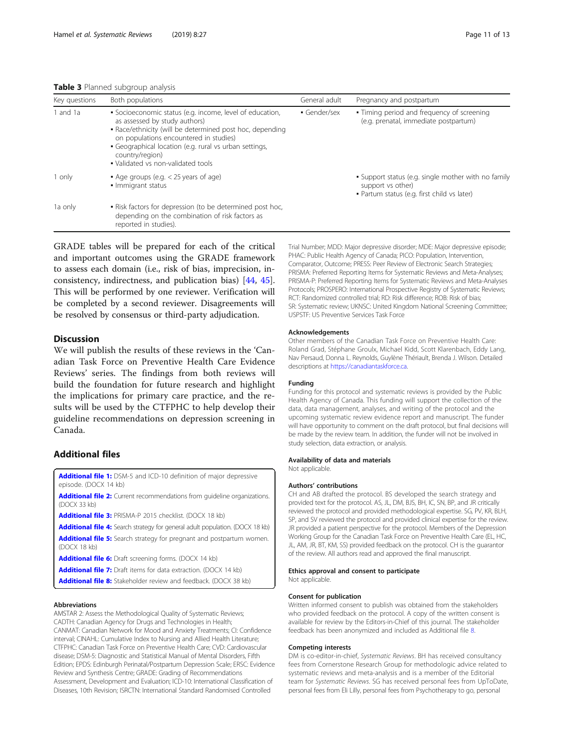# <span id="page-10-0"></span>Table 3 Planned subgroup analysis

| Key questions | Both populations                                                                                                                                                                                                                                                                                                   | General adult | Pregnancy and postpartum                                                                                                |
|---------------|--------------------------------------------------------------------------------------------------------------------------------------------------------------------------------------------------------------------------------------------------------------------------------------------------------------------|---------------|-------------------------------------------------------------------------------------------------------------------------|
| $1$ and $1a$  | • Socioeconomic status (e.g. income, level of education,<br>as assessed by study authors)<br>• Race/ethnicity (will be determined post hoc, depending<br>on populations encountered in studies)<br>• Geographical location (e.g. rural vs urban settings,<br>country/region)<br>• Validated vs non-validated tools | Gender/sex    | • Timing period and frequency of screening<br>(e.g. prenatal, immediate postpartum)                                     |
| 1 only        | Age groups (e.g. $<$ 25 years of age)<br>• Immigrant status                                                                                                                                                                                                                                                        |               | • Support status (e.g. single mother with no family<br>support vs other)<br>· Partum status (e.g. first child vs later) |
| 1a only       | • Risk factors for depression (to be determined post hoc,<br>depending on the combination of risk factors as<br>reported in studies).                                                                                                                                                                              |               |                                                                                                                         |

GRADE tables will be prepared for each of the critical and important outcomes using the GRADE framework to assess each domain (i.e., risk of bias, imprecision, inconsistency, indirectness, and publication bias) [[44](#page-12-0), [45](#page-12-0)]. This will be performed by one reviewer. Verification will be completed by a second reviewer. Disagreements will be resolved by consensus or third-party adjudication.

# **Discussion**

We will publish the results of these reviews in the 'Canadian Task Force on Preventive Health Care Evidence Reviews' series. The findings from both reviews will build the foundation for future research and highlight the implications for primary care practice, and the results will be used by the CTFPHC to help develop their guideline recommendations on depression screening in Canada.

# Additional files

[Additional file 1:](https://doi.org/10.1186/s13643-018-0930-3) DSM-5 and ICD-10 definition of major depressive episode. (DOCX 14 kb)

[Additional file 2:](https://doi.org/10.1186/s13643-018-0930-3) Current recommendations from guideline organizations. (DOCX 33 kb)

[Additional file 3:](https://doi.org/10.1186/s13643-018-0930-3) PRISMA-P 2015 checklist. (DOCX 18 kb)

[Additional file 4:](https://doi.org/10.1186/s13643-018-0930-3) Search strategy for general adult population. (DOCX 18 kb)

[Additional file 5:](https://doi.org/10.1186/s13643-018-0930-3) Search strategy for pregnant and postpartum women. (DOCX 18 kb)

[Additional file 6:](https://doi.org/10.1186/s13643-018-0930-3) Draft screening forms. (DOCX 14 kb)

[Additional file 7:](https://doi.org/10.1186/s13643-018-0930-3) Draft items for data extraction. (DOCX 14 kb)

[Additional file 8:](https://doi.org/10.1186/s13643-018-0930-3) Stakeholder review and feedback. (DOCX 38 kb)

# Abbreviations

AMSTAR 2: Assess the Methodological Quality of Systematic Reviews; CADTH: Canadian Agency for Drugs and Technologies in Health; CANMAT: Canadian Network for Mood and Anxiety Treatments; CI: Confidence interval; CINAHL: Cumulative Index to Nursing and Allied Health Literature; CTFPHC: Canadian Task Force on Preventive Health Care; CVD: Cardiovascular disease; DSM-5: Diagnostic and Statistical Manual of Mental Disorders, Fifth Edition; EPDS: Edinburgh Perinatal/Postpartum Depression Scale; ERSC: Evidence Review and Synthesis Centre; GRADE: Grading of Recommendations Assessment, Development and Evaluation; ICD-10: International Classification of Diseases, 10th Revision; ISRCTN: International Standard Randomised Controlled

Trial Number; MDD: Major depressive disorder; MDE: Major depressive episode; PHAC: Public Health Agency of Canada; PICO: Population, Intervention, Comparator, Outcome; PRESS: Peer Review of Electronic Search Strategies; PRISMA: Preferred Reporting Items for Systematic Reviews and Meta-Analyses; PRISMA-P: Preferred Reporting Items for Systematic Reviews and Meta-Analyses Protocols; PROSPERO: International Prospective Registry of Systematic Reviews; RCT: Randomized controlled trial; RD: Risk difference; ROB: Risk of bias; SR: Systematic review; UKNSC: United Kingdom National Screening Committee; USPSTF: US Preventive Services Task Force

#### Acknowledgements

Other members of the Canadian Task Force on Preventive Health Care: Roland Grad, Stéphane Groulx, Michael Kidd, Scott Klarenbach, Eddy Lang, Nav Persaud, Donna L. Reynolds, Guylène Thériault, Brenda J. Wilson. Detailed descriptions at [https://canadiantaskforce.ca.](https://canadiantaskforce.ca)

#### Funding

Funding for this protocol and systematic reviews is provided by the Public Health Agency of Canada. This funding will support the collection of the data, data management, analyses, and writing of the protocol and the upcoming systematic review evidence report and manuscript. The funder will have opportunity to comment on the draft protocol, but final decisions will be made by the review team. In addition, the funder will not be involved in study selection, data extraction, or analysis.

#### Availability of data and materials

Not applicable.

#### Authors' contributions

CH and AB drafted the protocol. BS developed the search strategy and provided text for the protocol. AS, JL, DM, BJS, BH, IC, SN, BP, and JR critically reviewed the protocol and provided methodological expertise. SG, PV, KR, BLH, SP, and SV reviewed the protocol and provided clinical expertise for the review. JR provided a patient perspective for the protocol. Members of the Depression Working Group for the Canadian Task Force on Preventive Health Care (EL, HC, JL, AM, JR, BT, KM, SS) provided feedback on the protocol. CH is the guarantor of the review. All authors read and approved the final manuscript.

#### Ethics approval and consent to participate

Not applicable.

#### Consent for publication

Written informed consent to publish was obtained from the stakeholders who provided feedback on the protocol. A copy of the written consent is available for review by the Editors-in-Chief of this journal. The stakeholder feedback has been anonymized and included as Additional file 8.

#### Competing interests

DM is co-editor-in-chief, Systematic Reviews. BH has received consultancy fees from Cornerstone Research Group for methodologic advice related to systematic reviews and meta-analysis and is a member of the Editorial team for Systematic Reviews. SG has received personal fees from UpToDate, personal fees from Eli Lilly, personal fees from Psychotherapy to go, personal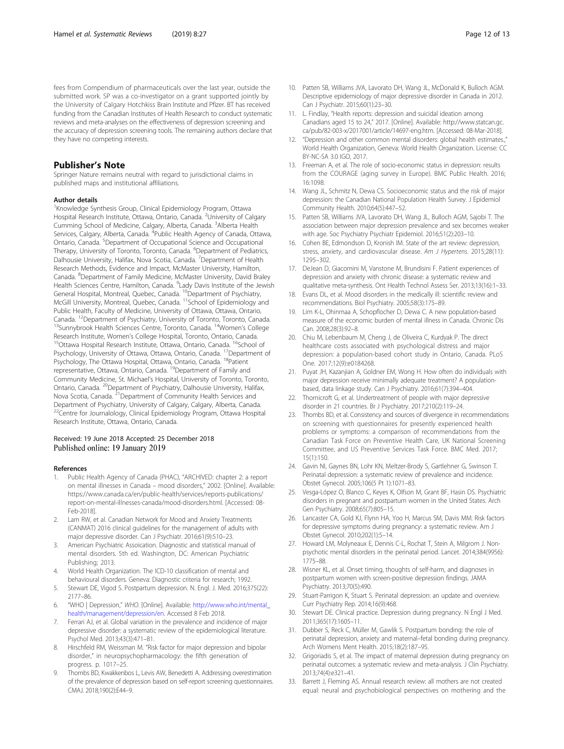<span id="page-11-0"></span>fees from Compendium of pharmaceuticals over the last year, outside the submitted work. SP was a co-investigator on a grant supported jointly by the University of Calgary Hotchkiss Brain Institute and Pfizer. BT has received funding from the Canadian Institutes of Health Research to conduct systematic reviews and meta-analyses on the effectiveness of depression screening and the accuracy of depression screening tools. The remaining authors declare that they have no competing interests.

# Publisher's Note

Springer Nature remains neutral with regard to jurisdictional claims in published maps and institutional affiliations.

#### Author details

<sup>1</sup> Knowledge Synthesis Group, Clinical Epidemiology Program, Ottawa Hospital Research Institute, Ottawa, Ontario, Canada. <sup>2</sup>University of Calgary Cumming School of Medicine, Calgary, Alberta, Canada. <sup>3</sup>Alberta Health Services, Calgary, Alberta, Canada. <sup>4</sup>Public Health Agency of Canada, Ottawa, Ontario, Canada. <sup>5</sup>Department of Occupational Science and Occupational Therapy, University of Toronto, Toronto, Canada. <sup>6</sup>Department of Pediatrics, Dalhousie University, Halifax, Nova Scotia, Canada. <sup>7</sup> Department of Health Research Methods, Evidence and Impact, McMaster University, Hamilton, Canada. <sup>8</sup>Department of Family Medicine, McMaster University, David Braley Health Sciences Centre, Hamilton, Canada. <sup>9</sup> Lady Davis Institute of the Jewish General Hospital, Montreal, Quebec, Canada. <sup>10</sup>Department of Psychiatry, McGill University, Montreal, Quebec, Canada. 11School of Epidemiology and Public Health, Faculty of Medicine, University of Ottawa, Ottawa, Ontario, Canada. <sup>12</sup>Department of Psychiatry, University of Toronto, Toronto, Canada.<br><sup>13</sup>Sunnybrook Health Sciences Centre, Toronto, Canada. <sup>14</sup>Women's College Research Institute, Women's College Hospital, Toronto, Ontario, Canada.<br><sup>15</sup>Ottawa Hospital Research Institute, Ottawa, Ontario, Canada. <sup>16</sup>School of Psychology, University of Ottawa, Ottawa, Ontario, Canada. <sup>17</sup>Department of Psychology, The Ottawa Hospital, Ottawa, Ontario, Canada. <sup>18</sup>Patient representative, Ottawa, Ontario, Canada. <sup>19</sup>Department of Family and Community Medicine, St. Michael's Hospital, University of Toronto, Toronto, Ontario, Canada. 20Department of Psychiatry, Dalhousie University, Halifax, Nova Scotia, Canada. 21Department of Community Health Services and Department of Psychiatry, University of Calgary, Calgary, Alberta, Canada. <sup>22</sup>Centre for Journalology, Clinical Epidemiology Program, Ottawa Hospital Research Institute, Ottawa, Ontario, Canada.

## Received: 19 June 2018 Accepted: 25 December 2018 Published online: 19 January 2019

#### References

- 1. Public Health Agency of Canada (PHAC), "ARCHIVED: chapter 2: a report on mental illnesses in Canada – mood disorders," 2002. [Online]. Available: https://www.canada.ca/en/public-health/services/reports-publications/ report-on-mental-illnesses-canada/mood-disorders.html. [Accessed: 08- Feb-2018].
- 2. Lam RW, et al. Canadian Network for Mood and Anxiety Treatments (CANMAT) 2016 clinical guidelines for the management of adults with major depressive disorder. Can J Psychiatr. 2016;61(9):510–23.
- 3. American Psychiatric Assoication. Diagnostic and statistical manual of mental disorders. 5th ed. Washington, DC: American Psychiatric Publishing; 2013.
- 4. World Health Organization. The ICD-10 classification of mental and behavioural disorders. Geneva: Diagnostic criteria for research; 1992.
- 5. Stewart DE, Vigod S. Postpartum depression. N. Engl. J. Med. 2016;375(22): 2177–86.
- 6. "WHO | Depression," WHO. [Online]. Available: [http://www.who.int/mental\\_](http://www.who.int/mental_health/management/depression/en) [health/management/depression/en](http://www.who.int/mental_health/management/depression/en). Accessed 8 Feb 2018.
- 7. Ferrari AJ, et al. Global variation in the prevalence and incidence of major depressive disorder: a systematic review of the epidemiological literature. Psychol Med. 2013;43(3):471–81.
- 8. Hirschfeld RM, Weissman M. "Risk factor for major depression and bipolar disorder," in neuropsychopharmacology: the fifth generation of progress. p. 1017–25.
- Thombs BD, Kwakkenbos L, Levis AW, Benedetti A. Addressing overestimation of the prevalence of depression based on self-report screening questionnaires. CMAJ. 2018;190(2):E44–9.
- 10. Patten SB, Williams JVA, Lavorato DH, Wang JL, McDonald K, Bulloch AGM. Descriptive epidemiology of major depressive disorder in Canada in 2012. Can J Psychiatr. 2015;60(1):23–30.
- 11. L. Findlay, "Health reports: depression and suicidal ideation among Canadians aged 15 to 24," 2017. [Online]. Available: http://www.statcan.gc. ca/pub/82-003-x/2017001/article/14697-eng.htm. [Accessed: 08-Mar-2018].
- 12. "Depression and other common mental disorders: global health estimates., World Health Organization, Geneva: World Health Organization. License: CC BY-NC-SA 3.0 IGO, 2017.
- 13. Freeman A, et al. The role of socio-economic status in depression: results from the COURAGE (aging survey in Europe). BMC Public Health. 2016; 16:1098.
- 14. Wang JL, Schmitz N, Dewa CS. Socioeconomic status and the risk of major depression: the Canadian National Population Health Survey. J Epidemiol Community Health. 2010;64(5):447–52.
- 15. Patten SB, Williams JVA, Lavorato DH, Wang JL, Bulloch AGM, Sajobi T. The association between major depression prevalence and sex becomes weaker with age. Soc Psychiatry Psychiatr Epidemiol. 2016;51(2):203–10.
- 16. Cohen BE, Edmondson D, Kronish IM. State of the art review: depression, stress, anxiety, and cardiovascular disease. Am J Hypertens. 2015;28(11): 1295–302.
- 17. DeJean D, Giacomini M, Vanstone M, Brundisini F. Patient experiences of depression and anxiety with chronic disease: a systematic review and qualitative meta-synthesis. Ont Health Technol Assess Ser. 2013;13(16):1–33.
- 18. Evans DL, et al. Mood disorders in the medically ill: scientific review and recommendations. Biol Psychiatry. 2005;58(3):175–89.
- 19. Lim K-L, Ohinmaa A, Schopflocher D, Dewa C. A new population-based measure of the economic burden of mental illness in Canada. Chronic Dis Can. 2008;28(3):92–8.
- 20. Chiu M, Lebenbaum M, Cheng J, de Oliveira C, Kurdyak P. The direct healthcare costs associated with psychological distress and major depression: a population-based cohort study in Ontario, Canada. PLoS One. 2017;12(9):e0184268.
- 21. Puyat JH, Kazanjian A, Goldner EM, Wong H. How often do individuals with major depression receive minimally adequate treatment? A populationbased, data linkage study. Can J Psychiatry. 2016;61(7):394–404.
- 22. Thornicroft G, et al. Undertreatment of people with major depressive disorder in 21 countries. Br J Psychiatry. 2017;210(2):119–24.
- 23. Thombs BD, et al. Consistency and sources of divergence in recommendations on screening with questionnaires for presently experienced health problems or symptoms: a comparison of recommendations from the Canadian Task Force on Preventive Health Care, UK National Screening Committee, and US Preventive Services Task Force. BMC Med. 2017; 15(1):150.
- 24. Gavin NI, Gaynes BN, Lohr KN, Meltzer-Brody S, Gartlehner G, Swinson T. Perinatal depression: a systematic review of prevalence and incidence. Obstet Gynecol. 2005;106(5 Pt 1):1071–83.
- 25. Vesga-López O, Blanco C, Keyes K, Olfson M, Grant BF, Hasin DS. Psychiatric disorders in pregnant and postpartum women in the United States. Arch Gen Psychiatry. 2008;65(7):805–15.
- 26. Lancaster CA, Gold KJ, Flynn HA, Yoo H, Marcus SM, Davis MM. Risk factors for depressive symptoms during pregnancy: a systematic review. Am J Obstet Gynecol. 2010;202(1):5–14.
- 27. Howard LM, Molyneaux E, Dennis C-L, Rochat T, Stein A, Milgrom J. Nonpsychotic mental disorders in the perinatal period. Lancet. 2014;384(9956): 1775–88.
- 28. Wisner KL, et al. Onset timing, thoughts of self-harm, and diagnoses in postpartum women with screen-positive depression findings. JAMA Psychiatry. 2013;70(5):490.
- 29. Stuart-Parrigon K, Stuart S. Perinatal depression: an update and overview. Curr Psychiatry Rep. 2014;16(9):468.
- 30. Stewart DE. Clinical practice. Depression during pregnancy. N Engl J Med. 2011;365(17):1605–11.
- 31. Dubber S, Reck C, Müller M, Gawlik S. Postpartum bonding: the role of perinatal depression, anxiety and maternal–fetal bonding during pregnancy. Arch Womens Ment Health. 2015;18(2):187–95.
- 32. Grigoriadis S, et al. The impact of maternal depression during pregnancy on perinatal outcomes: a systematic review and meta-analysis. J Clin Psychiatry. 2013;74(4):e321–41.
- 33. Barrett J, Fleming AS. Annual research review: all mothers are not created equal: neural and psychobiological perspectives on mothering and the